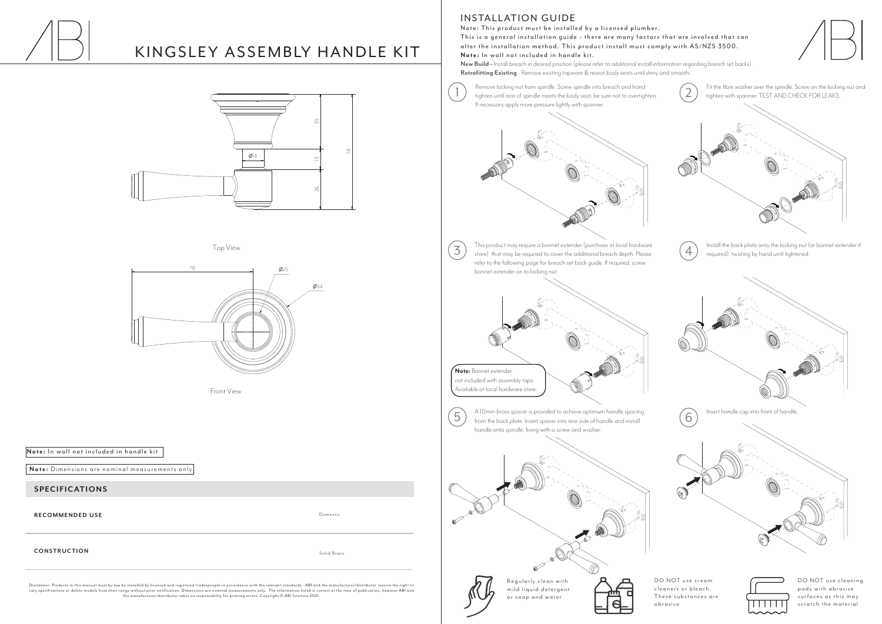# KINGSLEY ASSEMBLY HANDLE KIT

### **SPECIFICATIONS**

Disclaimer: Products in this manual must by law be installed by licensed and registered tradespeople in accordance with the relevant standards. ABI and the manufacturer/distributor reser ve the right to vary specifications or delete models from their range without prior notification. Dimensions are nominal measurements only. The information listed is correct at the time of publication, however ABI and<br>the manufacturer/dis

**RECOMMENDED USE**

### **INSTALLATION GUIDE**

### **CONSTRUCTION**

Note: This product must be installed by a licensed plumber. This is a general installation guide - there are many factors that are involved that can alter the installation method. This product install must comply with AS/NZS 3500. Note: In wall not included in handle kit.

**Note:** Dimensions are nominal measurements only

**New Build -** Install breach in desired position (please refer to additional install information regarding breach set backs). **Retrofitting Existing** - Remove existing tapware & reseat body seats until shiny and smooth.

> DO NOT use cleaning pads with abrasive surfaces as this may scratch the material

Domestic

Solid Brass

Top View

Front View

Note: In wall not included in handle kit





DO NOT use cream cleaners or bleach. These substances are abras ive



Remove locking nut from spindle. Screw spindle into breach and hand Remove locking nut from spindle. Screw spindle into breach and hand<br>
tighten with spanner. TEST AND CHECK FOR LEAKS. If necessary apply more pressure lightly with spanner.